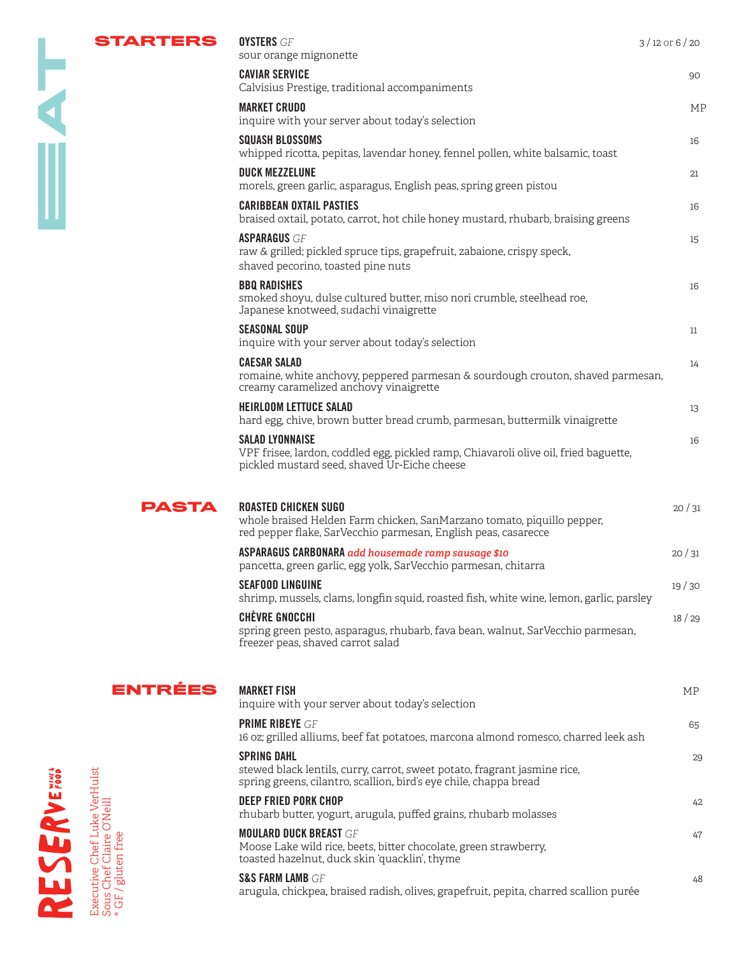| <b>STARTERS</b>                                    | <b>OYSTERS</b> GF                                                                                                                                                       | $3/12$ or 6/20 |
|----------------------------------------------------|-------------------------------------------------------------------------------------------------------------------------------------------------------------------------|----------------|
|                                                    | sour orange mignonette<br><b>CAVIAR SERVICE</b><br>Calvisius Prestige, traditional accompaniments                                                                       | 90             |
|                                                    | <b>MARKET CRUDO</b><br>inquire with your server about today's selection                                                                                                 | MP             |
|                                                    | <b>SQUASH BLOSSOMS</b><br>whipped ricotta, pepitas, lavendar honey, fennel pollen, white balsamic, toast                                                                | 16             |
|                                                    | <b>DUCK MEZZELUNE</b><br>morels, green garlic, asparagus, English peas, spring green pistou                                                                             | 21             |
|                                                    | <b>CARIBBEAN OXTAIL PASTIES</b><br>braised oxtail, potato, carrot, hot chile honey mustard, rhubarb, braising greens                                                    | 16             |
|                                                    | <b>ASPARAGUS</b> GF<br>raw & grilled; pickled spruce tips, grapefruit, zabaione, crispy speck,<br>shaved pecorino, toasted pine nuts                                    | 15             |
|                                                    | <b>BBQ RADISHES</b><br>smoked shoyu, dulse cultured butter, miso nori crumble, steelhead roe,<br>Japanese knotweed, sudachi vinaigrette                                 | 16             |
|                                                    | <b>SEASONAL SOUP</b><br>inquire with your server about today's selection                                                                                                | 11             |
|                                                    | <b>CAESAR SALAD</b><br>romaine, white anchovy, peppered parmesan & sourdough crouton, shaved parmesan,<br>creamy caramelized anchovy vinaigrette                        | 14             |
|                                                    | <b>HEIRLOOM LETTUCE SALAD</b><br>hard egg, chive, brown butter bread crumb, parmesan, buttermilk vinaigrette                                                            | 13             |
|                                                    | <b>SALAD LYONNAISE</b><br>VPF frisee, lardon, coddled egg, pickled ramp, Chiavaroli olive oil, fried baguette,<br>pickled mustard seed, shaved Ur-Eiche cheese          | 16             |
| <b>PASTA</b>                                       | <b>ROASTED CHICKEN SUGO</b><br>whole braised Helden Farm chicken, SanMarzano tomato, piquillo pepper,<br>red pepper flake, SarVecchio parmesan, English peas, casarecce | 20/31          |
|                                                    | ASPARAGUS CARBONARA add housemade ramp sausage \$10<br>pancetta, green garlic, egg yolk, SarVecchio parmesan, chitarra                                                  | 20/31          |
|                                                    | <b>SEAFOOD LINGUINE</b><br>shrimp, mussels, clams, longfin squid, roasted fish, white wine, lemon, garlic, parsley                                                      | 19/30          |
|                                                    | <b>CHÈVRE GNOCCHI</b><br>spring green pesto, asparagus, rhubarb, fava bean, walnut, SarVecchio parmesan,<br>freezer peas, shaved carrot salad                           | 18/29          |
| ENTRÉES                                            | <b>MARKET FISH</b><br>inquire with your server about today's selection                                                                                                  | MP             |
| cutive Chef Luke VerHulst<br>s Chef Claire O'Neill | <b>PRIME RIBEYE</b> GF<br>16 oz; grilled alliums, beef fat potatoes, marcona almond romesco, charred leek ash                                                           | 65             |
|                                                    | <b>SPRING DAHL</b><br>stewed black lentils, curry, carrot, sweet potato, fragrant jasmine rice,<br>spring greens, cilantro, scallion, bird's eye chile, chappa bread    | 29             |
|                                                    | <b>DEEP FRIED PORK CHOP</b><br>rhubarb butter, yogurt, arugula, puffed grains, rhubarb molasses                                                                         | 42             |
| gluten free                                        | <b>MOULARD DUCK BREAST GF</b><br>Moose Lake wild rice, beets, bitter chocolate, green strawberry,<br>toasted hazelnut, duck skin 'quacklin', thyme                      | 47             |
|                                                    | <b>S&amp;S FARM LAMB GF</b><br>arugula, chickpea, braised radish, olives, grapefruit, pepita, charred scallion purée                                                    | 48             |

RESERVERS Executive Chef Luke VerHulst<br>Sous Chef Claire O'Neill<br>\* GF / gluten free Executive Chef Luke VerHulst Sous Chef Claire O'Neill \* GF / gluten free